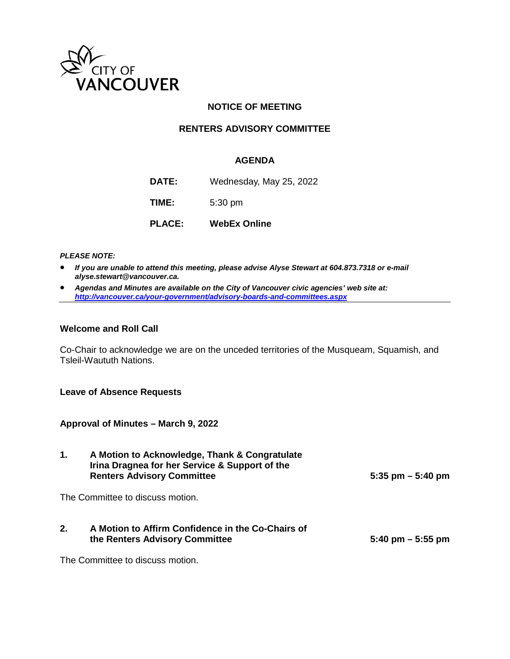

## **NOTICE OF MEETING**

### **RENTERS ADVISORY COMMITTEE**

### **AGENDA**

**DATE:** Wednesday, May 25, 2022

**TIME:** 5:30 pm

**PLACE: WebEx Online**

*PLEASE NOTE:*

- *If you are unable to attend this meeting, please advise Alyse Stewart at 604.873.7318 or e-mail alyse.stewart@vancouver.ca.*
- *Agendas and Minutes are available on the City of Vancouver civic agencies' web site at: <http://vancouver.ca/your-government/advisory-boards-and-committees.aspx>*

### **Welcome and Roll Call**

Co-Chair to acknowledge we are on the unceded territories of the Musqueam, Squamish, and Tsleil-Waututh Nations.

#### **Leave of Absence Requests**

**Approval of Minutes – March 9, 2022**

| 1. | A Motion to Acknowledge, Thank & Congratulate<br>Irina Dragnea for her Service & Support of the<br><b>Renters Advisory Committee</b> | $5:35$ pm $-5:40$ pm                |
|----|--------------------------------------------------------------------------------------------------------------------------------------|-------------------------------------|
|    | The Committee to discuss motion.                                                                                                     |                                     |
| 2. | A Motion to Affirm Confidence in the Co-Chairs of<br>the Renters Advisory Committee                                                  | $5:40 \text{ pm} - 5:55 \text{ pm}$ |

The Committee to discuss motion.